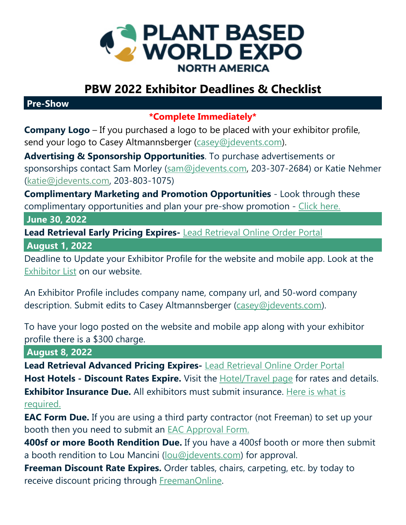

## **PBW 2022 Exhibitor Deadlines & Checklist**

**Pre-Show**

**\*Complete Immediately\*** 

**Company Logo** – If you purchased a logo to be placed with your exhibitor profile, send your logo to Casey Altmannsberger (casey@jdevents.com).

**Advertising & Sponsorship Opportunities**. To purchase advertisements or sponsorships contact Sam Morley (sam@jdevents.com, 203-307-2684) or Katie Nehmer (katie@jdevents.com, 203-803-1075)

**Complimentary Marketing and Promotion Opportunities** - Look through these complimentary opportunities and plan your pre-show promotion - Click here.

 **June 30, 2022**

**Lead Retrieval Early Pricing Expires-** Lead Retrieval Online Order Portal

 **August 1, 2022** 

Deadline to Update your Exhibitor Profile for the website and mobile app. Look at the Exhibitor List on our website.

An Exhibitor Profile includes company name, company url, and 50-word company description. Submit edits to Casey Altmannsberger (casey@jdevents.com).

To have your logo posted on the website and mobile app along with your exhibitor profile there is a \$300 charge.

 **August 8, 2022**

**Lead Retrieval Advanced Pricing Expires-** Lead Retrieval Online Order Portal Host Hotels - Discount Rates Expire. Visit the **Hotel/Travel page** for rates and details. **Exhibitor Insurance Due.** All exhibitors must submit insurance. Here is what is required.

**EAC Form Due.** If you are using a third party contractor (not Freeman) to set up your booth then you need to submit an EAC Approval Form.

**400sf or more Booth Rendition Due.** If you have a 400sf booth or more then submit a booth rendition to Lou Mancini (lou@jdevents.com) for approval.

**Freeman Discount Rate Expires.** Order tables, chairs, carpeting, etc. by today to receive discount pricing through FreemanOnline.